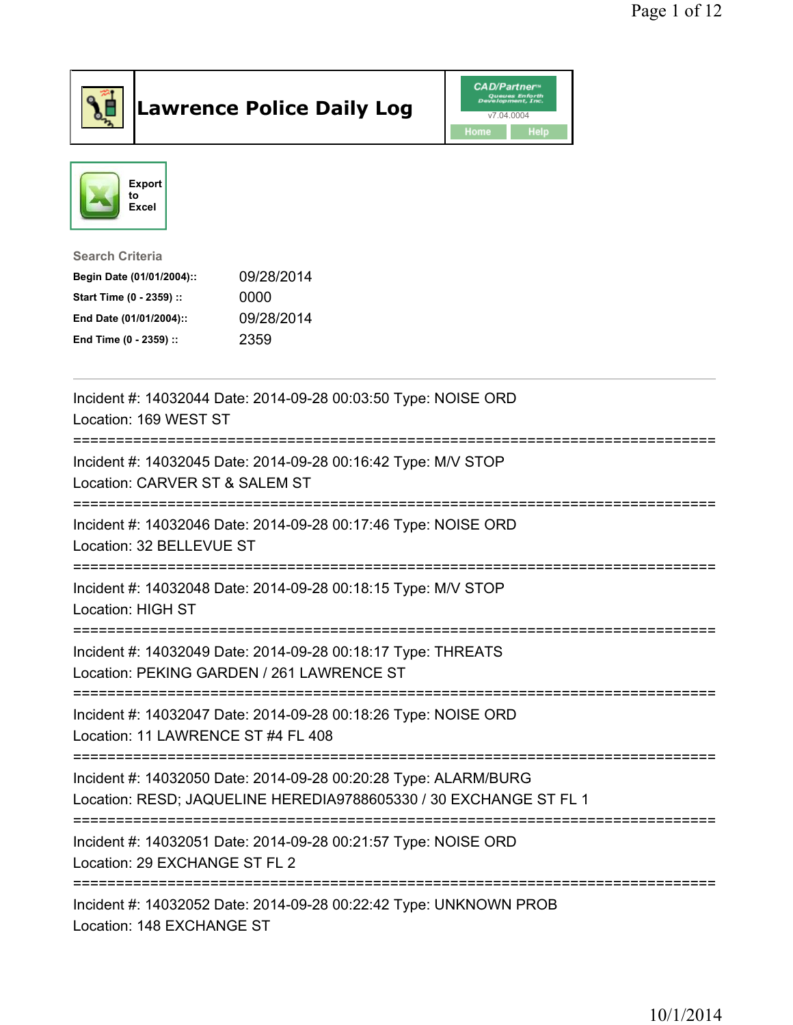

## Lawrence Police Daily Log Value of the VAD/Partner





## Search Criteria

| Begin Date (01/01/2004):: | 09/28/2014 |
|---------------------------|------------|
| Start Time (0 - 2359) ::  | 0000       |
| End Date (01/01/2004)::   | 09/28/2014 |
| End Time (0 - 2359) ::    | 2359       |

| Incident #: 14032044 Date: 2014-09-28 00:03:50 Type: NOISE ORD<br>Location: 169 WEST ST                                                |
|----------------------------------------------------------------------------------------------------------------------------------------|
| Incident #: 14032045 Date: 2014-09-28 00:16:42 Type: M/V STOP<br>Location: CARVER ST & SALEM ST                                        |
| Incident #: 14032046 Date: 2014-09-28 00:17:46 Type: NOISE ORD<br>Location: 32 BELLEVUE ST                                             |
| Incident #: 14032048 Date: 2014-09-28 00:18:15 Type: M/V STOP<br><b>Location: HIGH ST</b>                                              |
| Incident #: 14032049 Date: 2014-09-28 00:18:17 Type: THREATS<br>Location: PEKING GARDEN / 261 LAWRENCE ST<br>========================= |
| Incident #: 14032047 Date: 2014-09-28 00:18:26 Type: NOISE ORD<br>Location: 11 LAWRENCE ST #4 FL 408                                   |
| Incident #: 14032050 Date: 2014-09-28 00:20:28 Type: ALARM/BURG<br>Location: RESD; JAQUELINE HEREDIA9788605330 / 30 EXCHANGE ST FL 1   |
| Incident #: 14032051 Date: 2014-09-28 00:21:57 Type: NOISE ORD<br>Location: 29 EXCHANGE ST FL 2                                        |
| Incident #: 14032052 Date: 2014-09-28 00:22:42 Type: UNKNOWN PROB<br>Location: 148 EXCHANGE ST                                         |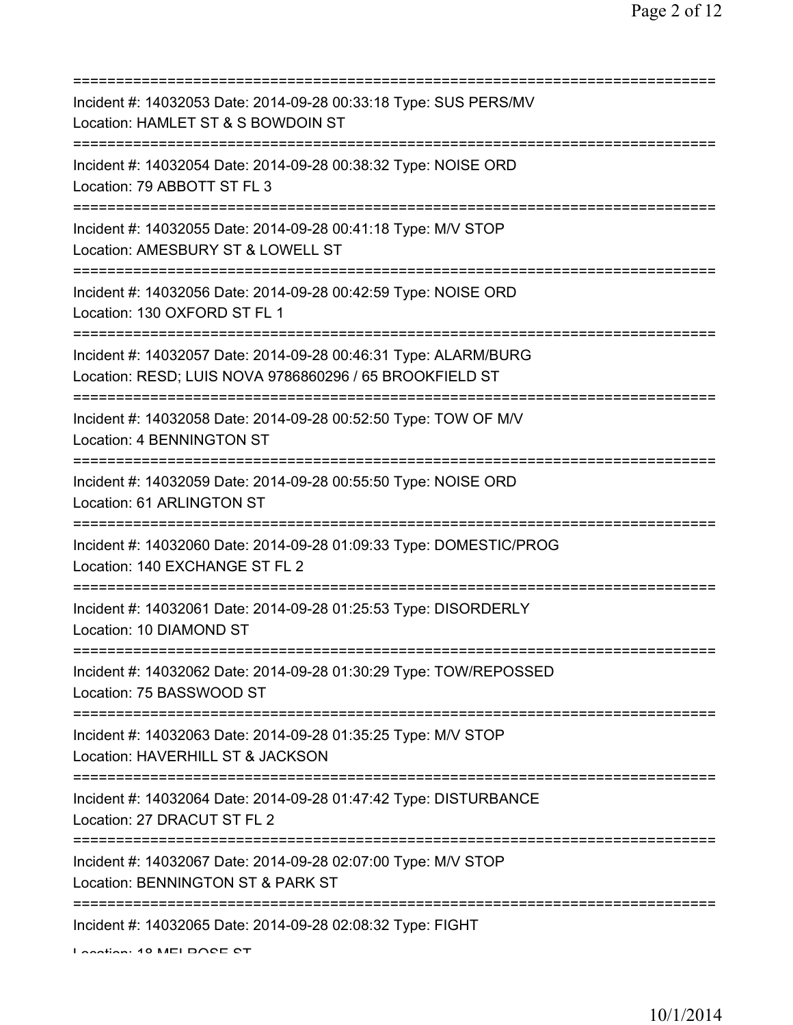| Incident #: 14032053 Date: 2014-09-28 00:33:18 Type: SUS PERS/MV<br>Location: HAMLET ST & S BOWDOIN ST                                       |
|----------------------------------------------------------------------------------------------------------------------------------------------|
| Incident #: 14032054 Date: 2014-09-28 00:38:32 Type: NOISE ORD<br>Location: 79 ABBOTT ST FL 3                                                |
| Incident #: 14032055 Date: 2014-09-28 00:41:18 Type: M/V STOP<br>Location: AMESBURY ST & LOWELL ST<br>:=============================         |
| Incident #: 14032056 Date: 2014-09-28 00:42:59 Type: NOISE ORD<br>Location: 130 OXFORD ST FL 1                                               |
| Incident #: 14032057 Date: 2014-09-28 00:46:31 Type: ALARM/BURG<br>Location: RESD; LUIS NOVA 9786860296 / 65 BROOKFIELD ST                   |
| Incident #: 14032058 Date: 2014-09-28 00:52:50 Type: TOW OF M/V<br>Location: 4 BENNINGTON ST                                                 |
| Incident #: 14032059 Date: 2014-09-28 00:55:50 Type: NOISE ORD<br>Location: 61 ARLINGTON ST                                                  |
| ====================================<br>Incident #: 14032060 Date: 2014-09-28 01:09:33 Type: DOMESTIC/PROG<br>Location: 140 EXCHANGE ST FL 2 |
| Incident #: 14032061 Date: 2014-09-28 01:25:53 Type: DISORDERLY<br>Location: 10 DIAMOND ST                                                   |
| Incident #: 14032062 Date: 2014-09-28 01:30:29 Type: TOW/REPOSSED<br>Location: 75 BASSWOOD ST                                                |
| Incident #: 14032063 Date: 2014-09-28 01:35:25 Type: M/V STOP<br>Location: HAVERHILL ST & JACKSON                                            |
| Incident #: 14032064 Date: 2014-09-28 01:47:42 Type: DISTURBANCE<br>Location: 27 DRACUT ST FL 2                                              |
| :========================<br>Incident #: 14032067 Date: 2014-09-28 02:07:00 Type: M/V STOP<br>Location: BENNINGTON ST & PARK ST              |
| Incident #: 14032065 Date: 2014-09-28 02:08:32 Type: FIGHT<br>Lootion: 40 MELDOCE CT                                                         |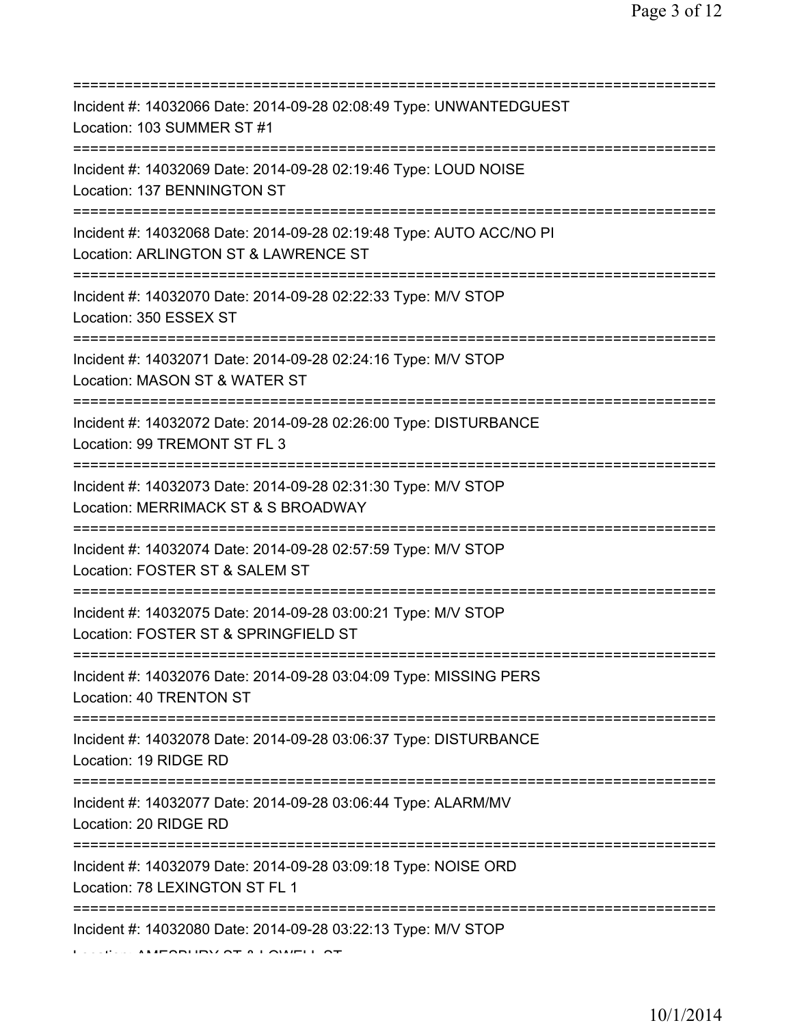| ============================<br>=============                                                                                          |
|----------------------------------------------------------------------------------------------------------------------------------------|
| Incident #: 14032066 Date: 2014-09-28 02:08:49 Type: UNWANTEDGUEST<br>Location: 103 SUMMER ST #1                                       |
| Incident #: 14032069 Date: 2014-09-28 02:19:46 Type: LOUD NOISE<br>Location: 137 BENNINGTON ST<br>==================================== |
| Incident #: 14032068 Date: 2014-09-28 02:19:48 Type: AUTO ACC/NO PI<br>Location: ARLINGTON ST & LAWRENCE ST                            |
| Incident #: 14032070 Date: 2014-09-28 02:22:33 Type: M/V STOP<br>Location: 350 ESSEX ST<br>=================================           |
| Incident #: 14032071 Date: 2014-09-28 02:24:16 Type: M/V STOP<br>Location: MASON ST & WATER ST<br>================================     |
| Incident #: 14032072 Date: 2014-09-28 02:26:00 Type: DISTURBANCE<br>Location: 99 TREMONT ST FL 3<br>=============                      |
| Incident #: 14032073 Date: 2014-09-28 02:31:30 Type: M/V STOP<br>Location: MERRIMACK ST & S BROADWAY                                   |
| Incident #: 14032074 Date: 2014-09-28 02:57:59 Type: M/V STOP<br>Location: FOSTER ST & SALEM ST                                        |
| Incident #: 14032075 Date: 2014-09-28 03:00:21 Type: M/V STOP<br>Location: FOSTER ST & SPRINGFIELD ST                                  |
| Incident #: 14032076 Date: 2014-09-28 03:04:09 Type: MISSING PERS<br>Location: 40 TRENTON ST                                           |
| ;====================================<br>Incident #: 14032078 Date: 2014-09-28 03:06:37 Type: DISTURBANCE<br>Location: 19 RIDGE RD     |
| Incident #: 14032077 Date: 2014-09-28 03:06:44 Type: ALARM/MV<br>Location: 20 RIDGE RD                                                 |
| Incident #: 14032079 Date: 2014-09-28 03:09:18 Type: NOISE ORD<br>Location: 78 LEXINGTON ST FL 1                                       |
| ===============================<br>Incident #: 14032080 Date: 2014-09-28 03:22:13 Type: M/V STOP                                       |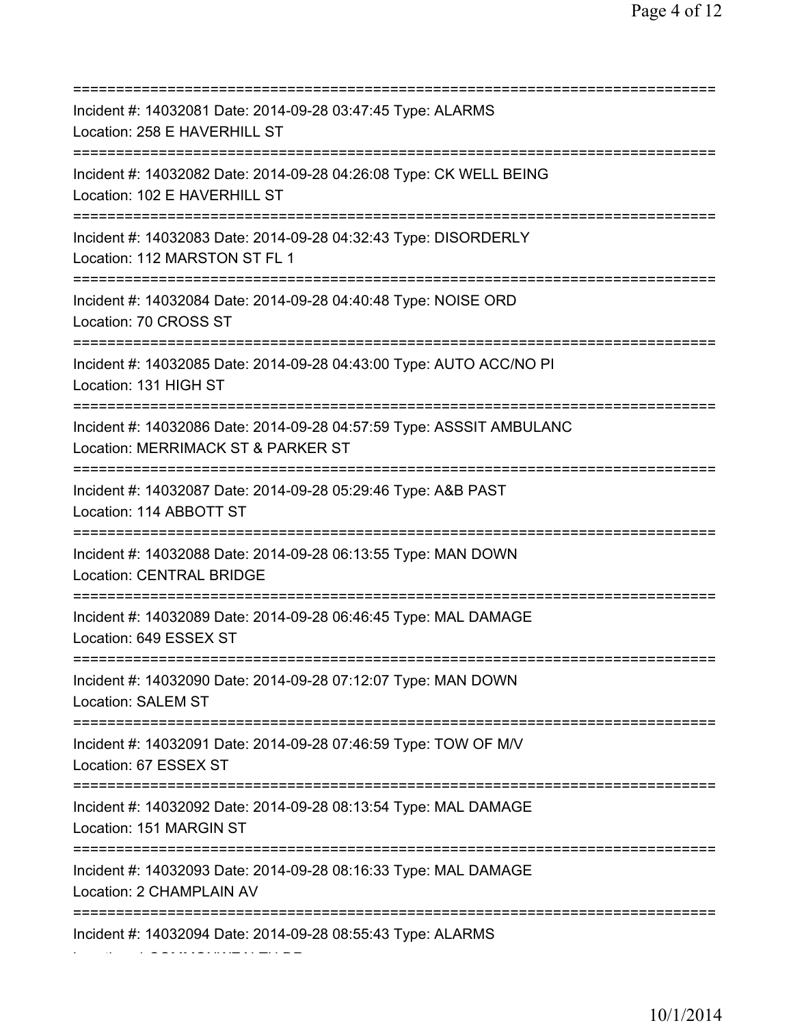| Incident #: 14032081 Date: 2014-09-28 03:47:45 Type: ALARMS<br>Location: 258 E HAVERHILL ST                                                   |
|-----------------------------------------------------------------------------------------------------------------------------------------------|
| Incident #: 14032082 Date: 2014-09-28 04:26:08 Type: CK WELL BEING<br>Location: 102 E HAVERHILL ST<br>=======================                 |
| Incident #: 14032083 Date: 2014-09-28 04:32:43 Type: DISORDERLY<br>Location: 112 MARSTON ST FL 1                                              |
| Incident #: 14032084 Date: 2014-09-28 04:40:48 Type: NOISE ORD<br>Location: 70 CROSS ST<br>=====================================              |
| Incident #: 14032085 Date: 2014-09-28 04:43:00 Type: AUTO ACC/NO PI<br>Location: 131 HIGH ST                                                  |
| ===============================<br>Incident #: 14032086 Date: 2014-09-28 04:57:59 Type: ASSSIT AMBULANC<br>Location: MERRIMACK ST & PARKER ST |
| Incident #: 14032087 Date: 2014-09-28 05:29:46 Type: A&B PAST<br>Location: 114 ABBOTT ST                                                      |
| Incident #: 14032088 Date: 2014-09-28 06:13:55 Type: MAN DOWN<br><b>Location: CENTRAL BRIDGE</b>                                              |
| Incident #: 14032089 Date: 2014-09-28 06:46:45 Type: MAL DAMAGE<br>Location: 649 ESSEX ST                                                     |
| Incident #: 14032090 Date: 2014-09-28 07:12:07 Type: MAN DOWN<br><b>Location: SALEM ST</b>                                                    |
| Incident #: 14032091 Date: 2014-09-28 07:46:59 Type: TOW OF M/V<br>Location: 67 ESSEX ST                                                      |
| Incident #: 14032092 Date: 2014-09-28 08:13:54 Type: MAL DAMAGE<br>Location: 151 MARGIN ST                                                    |
| ====================================<br>Incident #: 14032093 Date: 2014-09-28 08:16:33 Type: MAL DAMAGE<br>Location: 2 CHAMPLAIN AV           |
| Incident #: 14032094 Date: 2014-09-28 08:55:43 Type: ALARMS                                                                                   |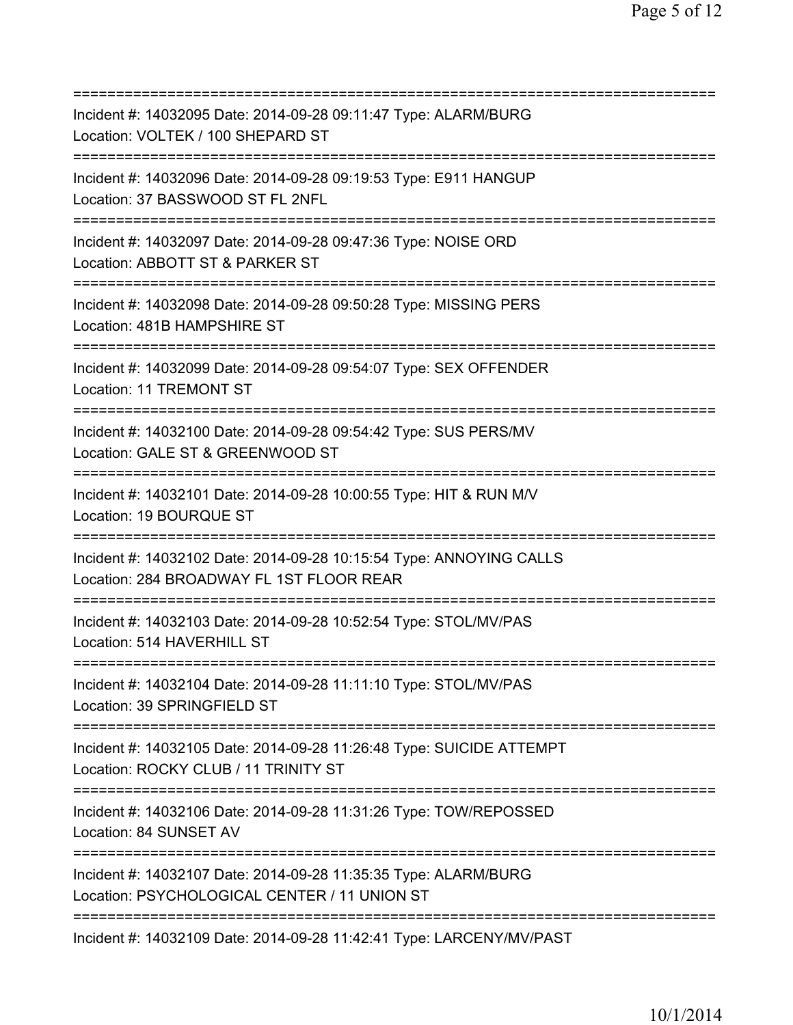| Incident #: 14032095 Date: 2014-09-28 09:11:47 Type: ALARM/BURG<br>Location: VOLTEK / 100 SHEPARD ST                                      |
|-------------------------------------------------------------------------------------------------------------------------------------------|
| Incident #: 14032096 Date: 2014-09-28 09:19:53 Type: E911 HANGUP<br>Location: 37 BASSWOOD ST FL 2NFL                                      |
| Incident #: 14032097 Date: 2014-09-28 09:47:36 Type: NOISE ORD<br>Location: ABBOTT ST & PARKER ST<br>=========================            |
| Incident #: 14032098 Date: 2014-09-28 09:50:28 Type: MISSING PERS<br>Location: 481B HAMPSHIRE ST                                          |
| Incident #: 14032099 Date: 2014-09-28 09:54:07 Type: SEX OFFENDER<br>Location: 11 TREMONT ST<br>=================================         |
| Incident #: 14032100 Date: 2014-09-28 09:54:42 Type: SUS PERS/MV<br>Location: GALE ST & GREENWOOD ST<br>===================               |
| Incident #: 14032101 Date: 2014-09-28 10:00:55 Type: HIT & RUN M/V<br>Location: 19 BOURQUE ST                                             |
| Incident #: 14032102 Date: 2014-09-28 10:15:54 Type: ANNOYING CALLS<br>Location: 284 BROADWAY FL 1ST FLOOR REAR                           |
| Incident #: 14032103 Date: 2014-09-28 10:52:54 Type: STOL/MV/PAS<br>Location: 514 HAVERHILL ST                                            |
| Incident #: 14032104 Date: 2014-09-28 11:11:10 Type: STOL/MV/PAS<br>Location: 39 SPRINGFIELD ST                                           |
| Incident #: 14032105 Date: 2014-09-28 11:26:48 Type: SUICIDE ATTEMPT<br>Location: ROCKY CLUB / 11 TRINITY ST<br>========================= |
| Incident #: 14032106 Date: 2014-09-28 11:31:26 Type: TOW/REPOSSED<br>Location: 84 SUNSET AV<br>==================================         |
| Incident #: 14032107 Date: 2014-09-28 11:35:35 Type: ALARM/BURG<br>Location: PSYCHOLOGICAL CENTER / 11 UNION ST                           |
| Incident #: 14032109 Date: 2014-09-28 11:42:41 Type: LARCENY/MV/PAST                                                                      |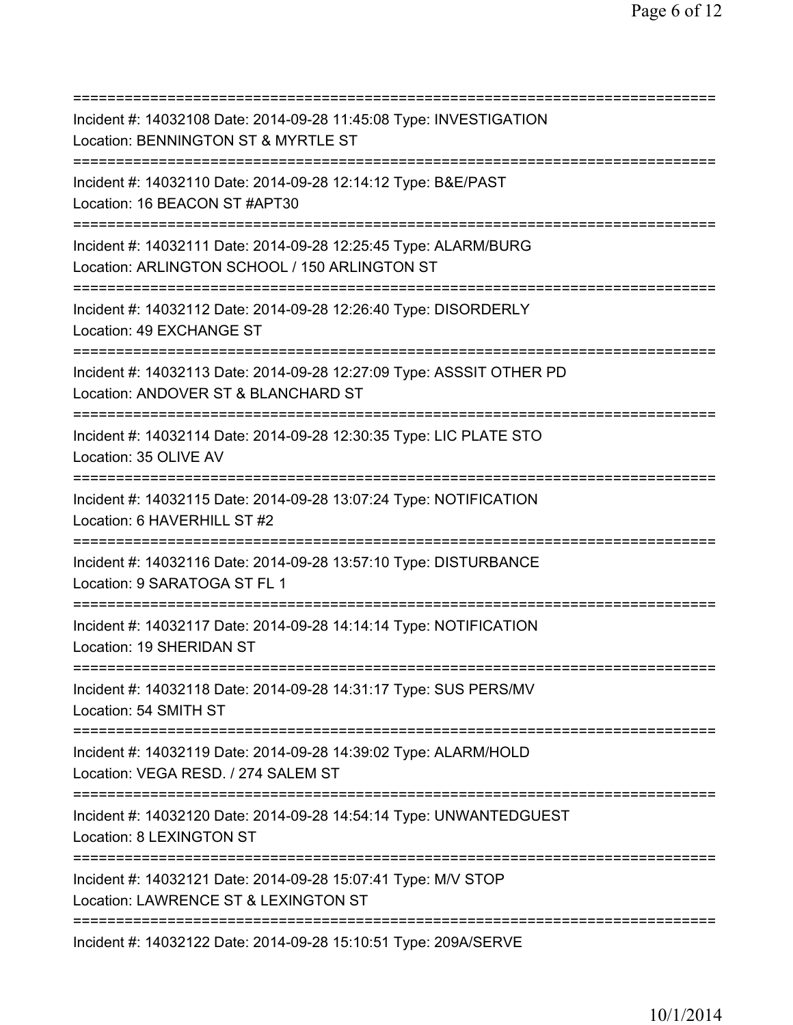=========================================================================== Incident #: 14032108 Date: 2014-09-28 11:45:08 Type: INVESTIGATION Location: BENNINGTON ST & MYRTLE ST =========================================================================== Incident #: 14032110 Date: 2014-09-28 12:14:12 Type: B&E/PAST Location: 16 BEACON ST #APT30 =========================================================================== Incident #: 14032111 Date: 2014-09-28 12:25:45 Type: ALARM/BURG Location: ARLINGTON SCHOOL / 150 ARLINGTON ST =========================================================================== Incident #: 14032112 Date: 2014-09-28 12:26:40 Type: DISORDERLY Location: 49 EXCHANGE ST =========================================================================== Incident #: 14032113 Date: 2014-09-28 12:27:09 Type: ASSSIT OTHER PD Location: ANDOVER ST & BLANCHARD ST =========================================================================== Incident #: 14032114 Date: 2014-09-28 12:30:35 Type: LIC PLATE STO Location: 35 OLIVE AV =========================================================================== Incident #: 14032115 Date: 2014-09-28 13:07:24 Type: NOTIFICATION Location: 6 HAVERHILL ST #2 =========================================================================== Incident #: 14032116 Date: 2014-09-28 13:57:10 Type: DISTURBANCE Location: 9 SARATOGA ST FL 1 =========================================================================== Incident #: 14032117 Date: 2014-09-28 14:14:14 Type: NOTIFICATION Location: 19 SHERIDAN ST =========================================================================== Incident #: 14032118 Date: 2014-09-28 14:31:17 Type: SUS PERS/MV Location: 54 SMITH ST =========================================================================== Incident #: 14032119 Date: 2014-09-28 14:39:02 Type: ALARM/HOLD Location: VEGA RESD. / 274 SALEM ST =========================================================================== Incident #: 14032120 Date: 2014-09-28 14:54:14 Type: UNWANTEDGUEST Location: 8 LEXINGTON ST =========================================================================== Incident #: 14032121 Date: 2014-09-28 15:07:41 Type: M/V STOP Location: LAWRENCE ST & LEXINGTON ST =========================================================================== Incident #: 14032122 Date: 2014-09-28 15:10:51 Type: 209A/SERVE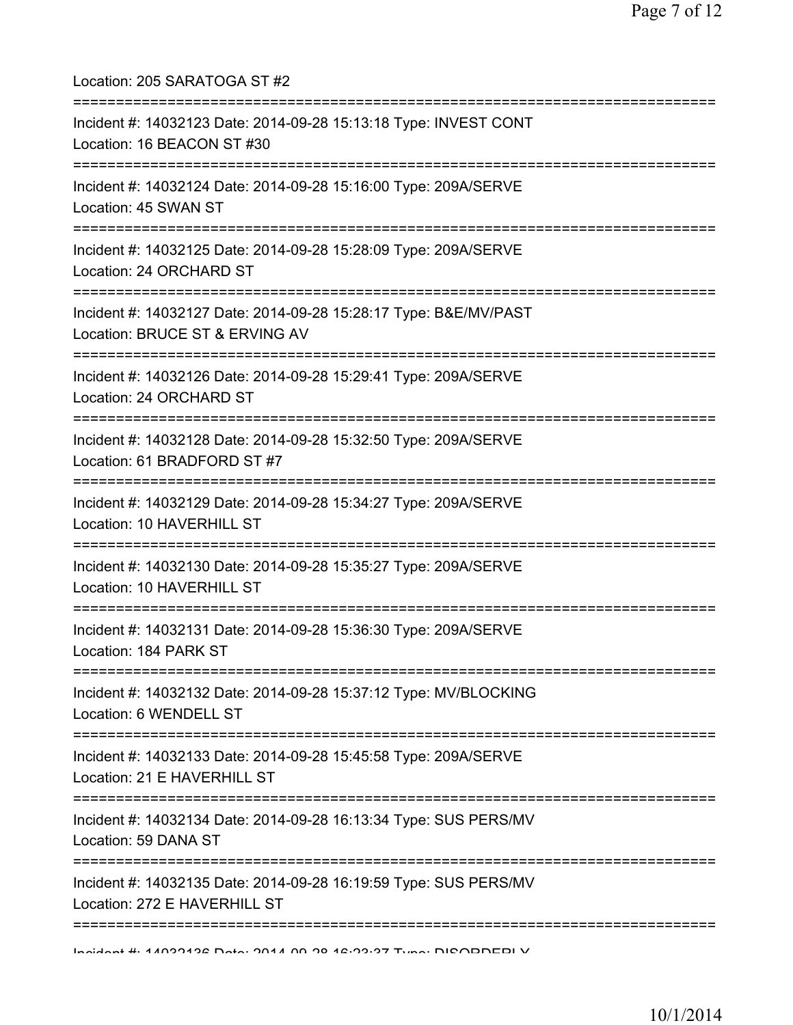| Location: 205 SARATOGA ST #2<br>================================                                                                |
|---------------------------------------------------------------------------------------------------------------------------------|
| Incident #: 14032123 Date: 2014-09-28 15:13:18 Type: INVEST CONT<br>Location: 16 BEACON ST #30<br>============================= |
| Incident #: 14032124 Date: 2014-09-28 15:16:00 Type: 209A/SERVE<br>Location: 45 SWAN ST                                         |
| Incident #: 14032125 Date: 2014-09-28 15:28:09 Type: 209A/SERVE<br>Location: 24 ORCHARD ST                                      |
| Incident #: 14032127 Date: 2014-09-28 15:28:17 Type: B&E/MV/PAST<br>Location: BRUCE ST & ERVING AV                              |
| :=============<br>Incident #: 14032126 Date: 2014-09-28 15:29:41 Type: 209A/SERVE<br>Location: 24 ORCHARD ST                    |
| Incident #: 14032128 Date: 2014-09-28 15:32:50 Type: 209A/SERVE<br>Location: 61 BRADFORD ST #7                                  |
| Incident #: 14032129 Date: 2014-09-28 15:34:27 Type: 209A/SERVE<br>Location: 10 HAVERHILL ST                                    |
| Incident #: 14032130 Date: 2014-09-28 15:35:27 Type: 209A/SERVE<br>Location: 10 HAVERHILL ST                                    |
| Incident #: 14032131 Date: 2014-09-28 15:36:30 Type: 209A/SERVE<br>Location: 184 PARK ST                                        |
| Incident #: 14032132 Date: 2014-09-28 15:37:12 Type: MV/BLOCKING<br>Location: 6 WENDELL ST                                      |
| Incident #: 14032133 Date: 2014-09-28 15:45:58 Type: 209A/SERVE<br>Location: 21 E HAVERHILL ST                                  |
| Incident #: 14032134 Date: 2014-09-28 16:13:34 Type: SUS PERS/MV<br>Location: 59 DANA ST                                        |
| Incident #: 14032135 Date: 2014-09-28 16:19:59 Type: SUS PERS/MV<br>Location: 272 E HAVERHILL ST                                |
|                                                                                                                                 |

Incident #: 14032136 Date: 2014 09 28 16:23:37 Type: DISORDERLY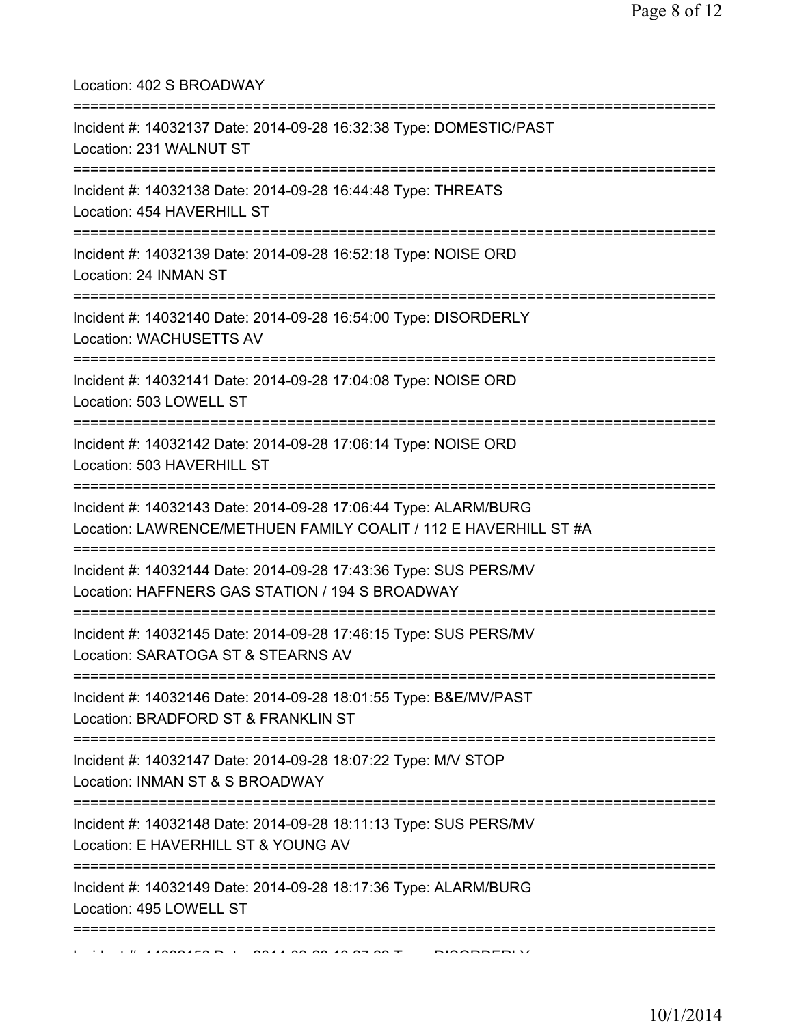Location: 402 S BROADWAY =========================================================================== Incident #: 14032137 Date: 2014-09-28 16:32:38 Type: DOMESTIC/PAST Location: 231 WALNUT ST =========================================================================== Incident #: 14032138 Date: 2014-09-28 16:44:48 Type: THREATS Location: 454 HAVERHILL ST =========================================================================== Incident #: 14032139 Date: 2014-09-28 16:52:18 Type: NOISE ORD Location: 24 INMAN ST =========================================================================== Incident #: 14032140 Date: 2014-09-28 16:54:00 Type: DISORDERLY Location: WACHUSETTS AV =========================================================================== Incident #: 14032141 Date: 2014-09-28 17:04:08 Type: NOISE ORD Location: 503 LOWELL ST =========================================================================== Incident #: 14032142 Date: 2014-09-28 17:06:14 Type: NOISE ORD Location: 503 HAVERHILL ST =========================================================================== Incident #: 14032143 Date: 2014-09-28 17:06:44 Type: ALARM/BURG Location: LAWRENCE/METHUEN FAMILY COALIT / 112 E HAVERHILL ST #A =========================================================================== Incident #: 14032144 Date: 2014-09-28 17:43:36 Type: SUS PERS/MV Location: HAFFNERS GAS STATION / 194 S BROADWAY =========================================================================== Incident #: 14032145 Date: 2014-09-28 17:46:15 Type: SUS PERS/MV Location: SARATOGA ST & STEARNS AV =========================================================================== Incident #: 14032146 Date: 2014-09-28 18:01:55 Type: B&E/MV/PAST Location: BRADFORD ST & FRANKLIN ST =========================================================================== Incident #: 14032147 Date: 2014-09-28 18:07:22 Type: M/V STOP Location: INMAN ST & S BROADWAY =========================================================================== Incident #: 14032148 Date: 2014-09-28 18:11:13 Type: SUS PERS/MV Location: E HAVERHILL ST & YOUNG AV =========================================================================== Incident #: 14032149 Date: 2014-09-28 18:17:36 Type: ALARM/BURG Location: 495 LOWELL ST ===========================================================================

 $1$   $\mu$  44030450 Date: 2014 09 28 19 27:28 Type: DISORDERLY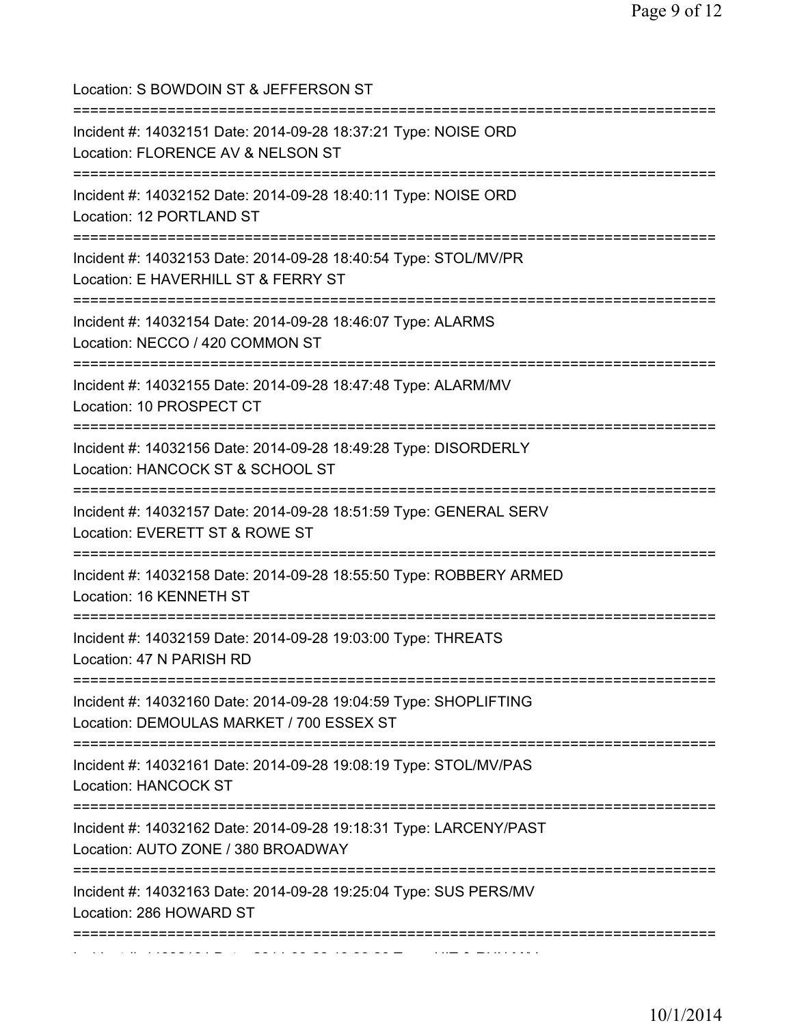| Location: S BOWDOIN ST & JEFFERSON ST<br>===============================                                                                          |
|---------------------------------------------------------------------------------------------------------------------------------------------------|
| Incident #: 14032151 Date: 2014-09-28 18:37:21 Type: NOISE ORD<br>Location: FLORENCE AV & NELSON ST<br>=========================                  |
| Incident #: 14032152 Date: 2014-09-28 18:40:11 Type: NOISE ORD<br>Location: 12 PORTLAND ST                                                        |
| Incident #: 14032153 Date: 2014-09-28 18:40:54 Type: STOL/MV/PR<br>Location: E HAVERHILL ST & FERRY ST<br>;======================<br>============ |
| Incident #: 14032154 Date: 2014-09-28 18:46:07 Type: ALARMS<br>Location: NECCO / 420 COMMON ST                                                    |
| Incident #: 14032155 Date: 2014-09-28 18:47:48 Type: ALARM/MV<br>Location: 10 PROSPECT CT                                                         |
| Incident #: 14032156 Date: 2014-09-28 18:49:28 Type: DISORDERLY<br>Location: HANCOCK ST & SCHOOL ST<br>===========================                |
| Incident #: 14032157 Date: 2014-09-28 18:51:59 Type: GENERAL SERV<br>Location: EVERETT ST & ROWE ST                                               |
| Incident #: 14032158 Date: 2014-09-28 18:55:50 Type: ROBBERY ARMED<br>Location: 16 KENNETH ST                                                     |
| Incident #: 14032159 Date: 2014-09-28 19:03:00 Type: THREATS<br>Location: 47 N PARISH RD                                                          |
| ======================<br>Incident #: 14032160 Date: 2014-09-28 19:04:59 Type: SHOPLIFTING<br>Location: DEMOULAS MARKET / 700 ESSEX ST            |
| Incident #: 14032161 Date: 2014-09-28 19:08:19 Type: STOL/MV/PAS<br>Location: HANCOCK ST                                                          |
| Incident #: 14032162 Date: 2014-09-28 19:18:31 Type: LARCENY/PAST<br>Location: AUTO ZONE / 380 BROADWAY                                           |
| ============<br>Incident #: 14032163 Date: 2014-09-28 19:25:04 Type: SUS PERS/MV<br>Location: 286 HOWARD ST                                       |
|                                                                                                                                                   |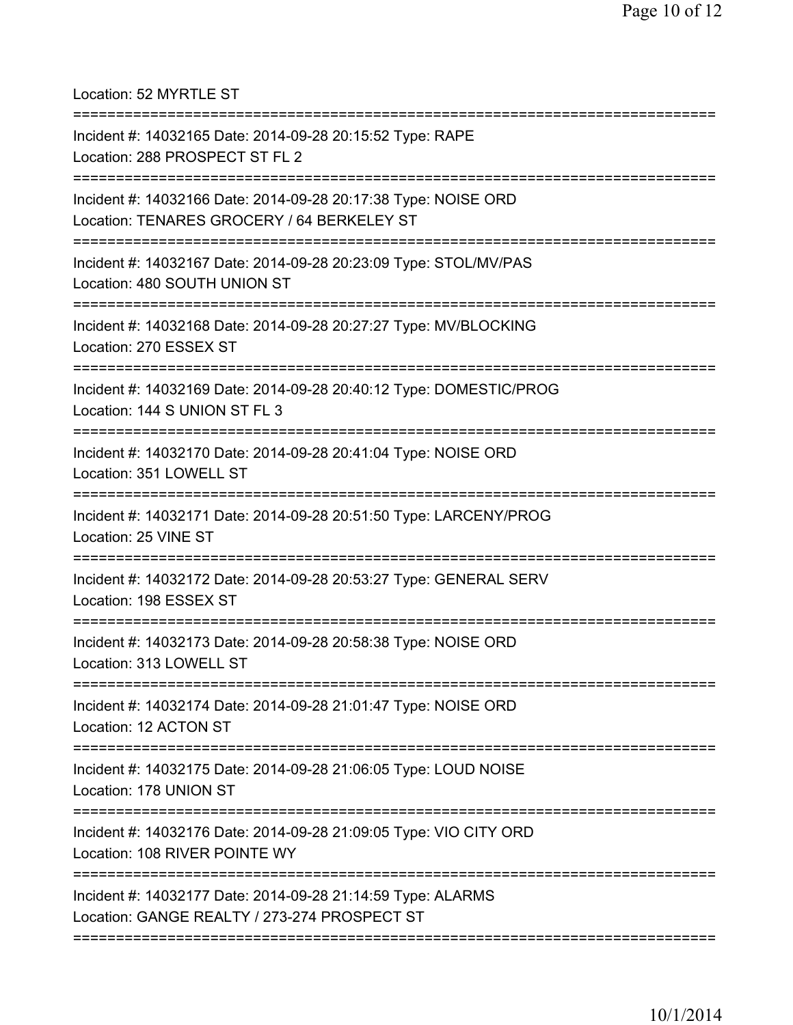Location: 52 MYRTLE ST

| Incident #: 14032165 Date: 2014-09-28 20:15:52 Type: RAPE<br>Location: 288 PROSPECT ST FL 2                  |
|--------------------------------------------------------------------------------------------------------------|
| Incident #: 14032166 Date: 2014-09-28 20:17:38 Type: NOISE ORD<br>Location: TENARES GROCERY / 64 BERKELEY ST |
| Incident #: 14032167 Date: 2014-09-28 20:23:09 Type: STOL/MV/PAS<br>Location: 480 SOUTH UNION ST             |
| Incident #: 14032168 Date: 2014-09-28 20:27:27 Type: MV/BLOCKING<br>Location: 270 ESSEX ST                   |
| Incident #: 14032169 Date: 2014-09-28 20:40:12 Type: DOMESTIC/PROG<br>Location: 144 S UNION ST FL 3          |
| Incident #: 14032170 Date: 2014-09-28 20:41:04 Type: NOISE ORD<br>Location: 351 LOWELL ST                    |
| Incident #: 14032171 Date: 2014-09-28 20:51:50 Type: LARCENY/PROG<br>Location: 25 VINE ST                    |
| Incident #: 14032172 Date: 2014-09-28 20:53:27 Type: GENERAL SERV<br>Location: 198 ESSEX ST                  |
| Incident #: 14032173 Date: 2014-09-28 20:58:38 Type: NOISE ORD<br>Location: 313 LOWELL ST                    |
| Incident #: 14032174 Date: 2014-09-28 21:01:47 Type: NOISE ORD<br>Location: 12 ACTON ST                      |
| Incident #: 14032175 Date: 2014-09-28 21:06:05 Type: LOUD NOISE<br>Location: 178 UNION ST                    |
| Incident #: 14032176 Date: 2014-09-28 21:09:05 Type: VIO CITY ORD<br>Location: 108 RIVER POINTE WY           |
| Incident #: 14032177 Date: 2014-09-28 21:14:59 Type: ALARMS<br>Location: GANGE REALTY / 273-274 PROSPECT ST  |
|                                                                                                              |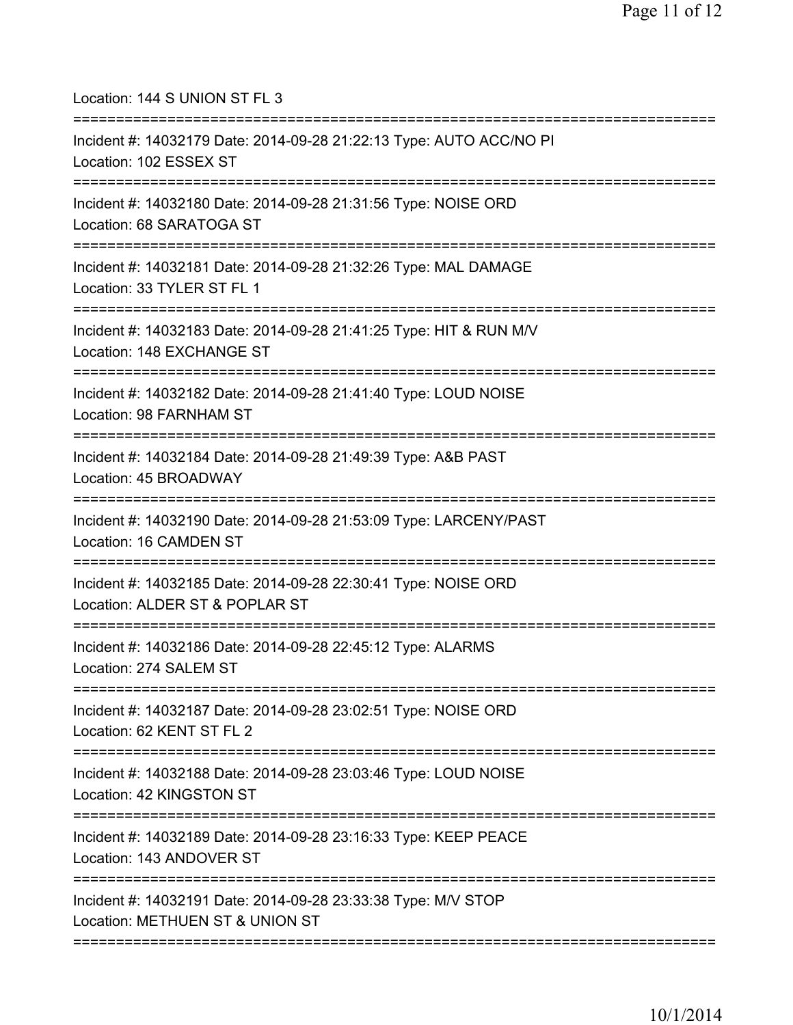| Location: 144 S UNION ST FL 3<br>=====================================                                                                    |
|-------------------------------------------------------------------------------------------------------------------------------------------|
| Incident #: 14032179 Date: 2014-09-28 21:22:13 Type: AUTO ACC/NO PI<br>Location: 102 ESSEX ST<br>====================================     |
| Incident #: 14032180 Date: 2014-09-28 21:31:56 Type: NOISE ORD<br>Location: 68 SARATOGA ST<br>=====================================       |
| Incident #: 14032181 Date: 2014-09-28 21:32:26 Type: MAL DAMAGE<br>Location: 33 TYLER ST FL 1                                             |
| Incident #: 14032183 Date: 2014-09-28 21:41:25 Type: HIT & RUN M/V<br>Location: 148 EXCHANGE ST                                           |
| ============================<br>Incident #: 14032182 Date: 2014-09-28 21:41:40 Type: LOUD NOISE<br>Location: 98 FARNHAM ST                |
| ===============================<br>Incident #: 14032184 Date: 2014-09-28 21:49:39 Type: A&B PAST<br>Location: 45 BROADWAY                 |
| Incident #: 14032190 Date: 2014-09-28 21:53:09 Type: LARCENY/PAST<br>Location: 16 CAMDEN ST                                               |
| =====================================<br>Incident #: 14032185 Date: 2014-09-28 22:30:41 Type: NOISE ORD<br>Location: ALDER ST & POPLAR ST |
| Incident #: 14032186 Date: 2014-09-28 22:45:12 Type: ALARMS<br>Location: 274 SALEM ST                                                     |
| =====================================<br>Incident #: 14032187 Date: 2014-09-28 23:02:51 Type: NOISE ORD<br>Location: 62 KENT ST FL 2      |
| Incident #: 14032188 Date: 2014-09-28 23:03:46 Type: LOUD NOISE<br>Location: 42 KINGSTON ST                                               |
| ======================================<br>Incident #: 14032189 Date: 2014-09-28 23:16:33 Type: KEEP PEACE<br>Location: 143 ANDOVER ST     |
| Incident #: 14032191 Date: 2014-09-28 23:33:38 Type: M/V STOP<br>Location: METHUEN ST & UNION ST                                          |
|                                                                                                                                           |